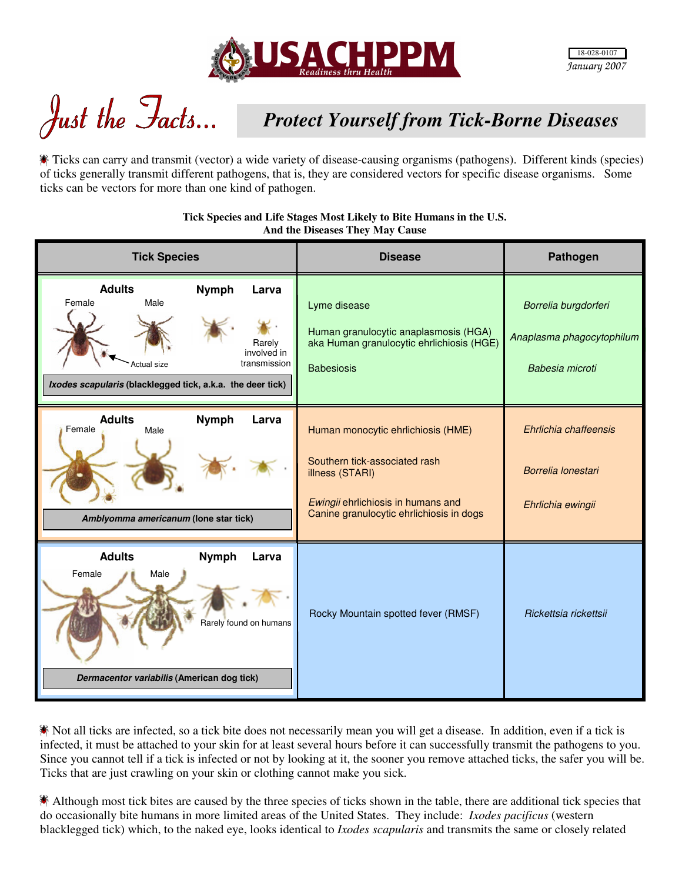

Just the Facts...

## *Protect Yourself from Tick-Borne Diseases*

Ticks can carry and transmit (vector) a wide variety of disease-causing organisms (pathogens). Different kinds (species) of ticks generally transmit different pathogens, that is, they are considered vectors for specific disease organisms. Some ticks can be vectors for more than one kind of pathogen.

> **Tick Species and Life Stages Most Likely to Bite Humans in the U.S. And the Diseases They May Cause**

| <b>Tick Species</b>                                                                                                                                                                   | <b>Disease</b>                                                                                                                                                           | Pathogen                                                             |
|---------------------------------------------------------------------------------------------------------------------------------------------------------------------------------------|--------------------------------------------------------------------------------------------------------------------------------------------------------------------------|----------------------------------------------------------------------|
| <b>Adults</b><br><b>Nymph</b><br>Larva<br>Male<br>Female<br>Rarely<br>involved in<br>transmission<br><b>Actual size</b><br>Ixodes scapularis (blacklegged tick, a.k.a. the deer tick) | Lyme disease<br>Human granulocytic anaplasmosis (HGA)<br>aka Human granulocytic ehrlichiosis (HGE)<br><b>Babesiosis</b>                                                  | Borrelia burgdorferi<br>Anaplasma phagocytophilum<br>Babesia microti |
| <b>Adults</b><br><b>Nymph</b><br>Larva<br>Female<br>Male<br>Amblyomma americanum (lone star tick)                                                                                     | Human monocytic ehrlichiosis (HME)<br>Southern tick-associated rash<br>illness (STARI)<br>Ewingii ehrlichiosis in humans and<br>Canine granulocytic ehrlichiosis in dogs | Ehrlichia chaffeensis<br>Borrelia lonestari<br>Ehrlichia ewingii     |
| <b>Adults</b><br><b>Nymph</b><br>Larva<br>Female<br>Male<br>Rarely found on humans<br>Dermacentor variabilis (American dog tick)                                                      | Rocky Mountain spotted fever (RMSF)                                                                                                                                      | Rickettsia rickettsii                                                |

Not all ticks are infected, so a tick bite does not necessarily mean you will get a disease. In addition, even if a tick is infected, it must be attached to your skin for at least several hours before it can successfully transmit the pathogens to you. Since you cannot tell if a tick is infected or not by looking at it, the sooner you remove attached ticks, the safer you will be. Ticks that are just crawling on your skin or clothing cannot make you sick.

Although most tick bites are caused by the three species of ticks shown in the table, there are additional tick species that do occasionally bite humans in more limited areas of the United States. They include: *Ixodes pacificus* (western blacklegged tick) which, to the naked eye, looks identical to *Ixodes scapularis* and transmits the same or closely related